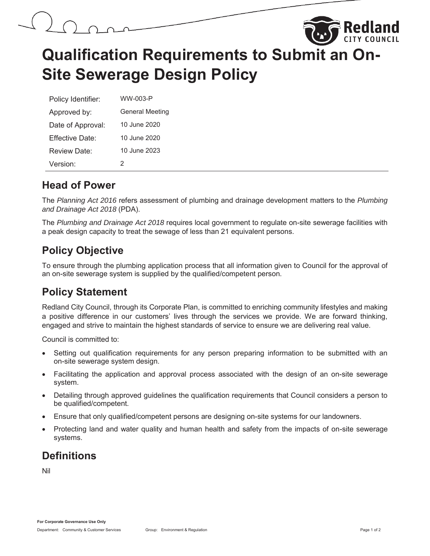



# **Qualification Requirements to Submit an On-Site Sewerage Design Policy**

| Policy Identifier:   | WW-003-P               |  |
|----------------------|------------------------|--|
| Approved by:         | <b>General Meeting</b> |  |
| Date of Approval:    | 10 June 2020           |  |
| Fffective Date:      | 10 June 2020           |  |
| Review Date:         | 10 June 2023           |  |
| Version <sup>.</sup> | 2                      |  |

#### **Head of Power**

The *Planning Act 2016* refers assessment of plumbing and drainage development matters to the *Plumbing and Drainage Act 2018* (PDA).

The *Plumbing and Drainage Act 2018* requires local government to regulate on-site sewerage facilities with a peak design capacity to treat the sewage of less than 21 equivalent persons.

## **Policy Objective**

To ensure through the plumbing application process that all information given to Council for the approval of an on-site sewerage system is supplied by the qualified/competent person.

## **Policy Statement**

Redland City Council, through its Corporate Plan, is committed to enriching community lifestyles and making a positive difference in our customers' lives through the services we provide. We are forward thinking, engaged and strive to maintain the highest standards of service to ensure we are delivering real value.

Council is committed to:

- Setting out qualification requirements for any person preparing information to be submitted with an on-site sewerage system design.
- Facilitating the application and approval process associated with the design of an on-site sewerage system.
- Detailing through approved guidelines the qualification requirements that Council considers a person to be qualified/competent.
- Ensure that only qualified/competent persons are designing on-site systems for our landowners.
- Protecting land and water quality and human health and safety from the impacts of on-site sewerage systems.

## **Definitions**

Nil